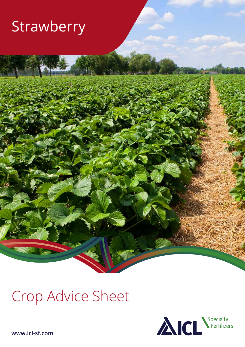## Strawberry

# Crop Advice Sheet



**www.icl-sf.com**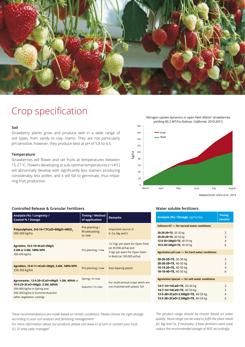

### Crop specification

### **Soil**

Strawberry plants grow and produce well in a wide range of soil types, from sandy to clay- loams. They are not particularly pH-sensitive, however, they produce best at pH of 5.8 to 6.5.

#### **Temperature**

Strawberries will flower and set fruits at temperatures between 15-27 °C. Flowers developing at sub-optimal temperatures (<14°C) will abnormally develop with significantly less stamen, producing considerably less pollen, and it will fail to germinate, thus impairing fruit production.

180 **Fruit Plant**

Nitrogen uptake dynamics in open field 'Albion' strawberries yielding 80.2 MT/ha *(Salinas, California, 2010-2011)*



*Adapted from: Hartz et al., 2013*

#### **Water soluble fertilizers**

| Analysis (%) / Dosage, kg/ha/day                                                                                                 | <b>Timing</b><br>(weeks)                                |  |  |  |  |  |  |  |
|----------------------------------------------------------------------------------------------------------------------------------|---------------------------------------------------------|--|--|--|--|--|--|--|
| Solinure GT - for normal water conditions                                                                                        |                                                         |  |  |  |  |  |  |  |
| 20-20-20+TE, 20-30 kg<br>20-20-20+TE, 40-50 kg<br>12-5-35+2MgO+TE, 40-50 kg<br>10-5-39+2MgO+TE, 40-50 kg                         | $\overline{2}$<br>$\overline{2}$<br>$\overline{4}$<br>6 |  |  |  |  |  |  |  |
| Agrolution pH Low - for hard water conditions                                                                                    |                                                         |  |  |  |  |  |  |  |
| 20-20-20+TE, 20-30 kg<br>20-20-20+TE, 40-50 kg<br>15-13-25+TE, 40-50 kg<br>10-10-40+TE, 40-50 kg                                 | $\overline{2}$<br>$\overline{2}$<br>$\overline{4}$<br>6 |  |  |  |  |  |  |  |
| <b>Agrolution Special - for soft water conditions</b>                                                                            |                                                         |  |  |  |  |  |  |  |
| 14-7-14+14CaO+TE, 20-30 kg<br>14-7-14+14CaO+TE, 40-50 kg<br>13-5-28+2CaO+2.5MgO+TE, 40-50 kg<br>13-5-28+2CaO+2.5MgO+TE, 40-50 kg | $\overline{2}$<br>$\overline{2}$<br>$\overline{4}$<br>6 |  |  |  |  |  |  |  |

*These recommendations are made based on certain conditions. Please choose the right dosage according to your soil analysis and fertilizing management!*

*For more information about our products, please visit www.icl-sf.com or contact your local ICL SF area sales manager!* 

*The product range should be chosen based on water quality. Nova range can be used to fulfill the plant needs for Mg and Ca, if necessary. If base fertilizers were used, reduce the recommended dosage of WSF accordingly.*

### **Controlled Release & Granular Fertilizers**

| Analysis (%) / Longevity /<br><b>Coated % / Dosage</b>                                                                                                                       | Timing / Method<br>of application               | <b>Remarks</b>                                                                                                              |
|------------------------------------------------------------------------------------------------------------------------------------------------------------------------------|-------------------------------------------------|-----------------------------------------------------------------------------------------------------------------------------|
| Polysulphate, 0-0-14+17CaO+6MgO+48SO <sub>3</sub><br>300-500 kg/ha                                                                                                           | Pre-planting /<br><b>Broadcasting</b><br>or row | Important source of<br>K, Ca, Mg and S                                                                                      |
| Agroblen, 18-5-10+4CaO+2MgO,<br>2-3M or 3-4M, 100% NPK<br>300-450 kg/ha                                                                                                      | Pre-planting / row                              | 12-15gr per plant for Open Field<br>(at 30.000 pl/ha) and<br>3-4gr per plant for Open Field -<br>in Beds (at 100.000 pl/ha) |
| Agroblen, 15-8-11+4CaO+2MgO, 5-6M, 100% NPK<br>250-350 kg/ha                                                                                                                 | Pre-planting / row                              | Ever-bearing plants                                                                                                         |
| Agromaster, 12-5-20+2CaO+4MgO, 1-2M, 40%N or<br>10-5-23+2CaO+5MgO, 2-3M, 60%N<br>300-400 kg/ha in Spring and<br>200-300 kg/ha in Summer/Autumn<br>(after vegetation cutting) | Spring / In row<br>Autumn / In row              | For multi-annual crops which are<br>not mulched with plastic foil                                                           |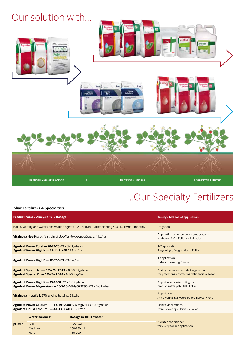

### ...Our Specialty Fertilizers

### **Foliar Fertilizers & Specialties**

|        | <b>Product name / Analysis (%) / Dosage</b>                                                                                       | <b>Timing / Method of application</b>                                                        |                                                     |  |  |  |  |
|--------|-----------------------------------------------------------------------------------------------------------------------------------|----------------------------------------------------------------------------------------------|-----------------------------------------------------|--|--|--|--|
|        | H2Flo, wetting and water conservation agent / 1.2-2.4 ltr/ha—after planting / 0.6-1.2 ltr/ha—monthly                              | Irrigation                                                                                   |                                                     |  |  |  |  |
|        | Vitalnova rise-P specific strain of Bacillus Amyloliquefaciens, 1 kg/ha                                                           | At planting or when soils temperature<br>is above 10°C / Foliar or irrigation                |                                                     |  |  |  |  |
|        | Agroleaf Power Total - 20-20-20+TE / 3-5 kg/ha or<br>Agroleaf Power High N - 31-11-11+TE / 3-5 kg/ha                              | 1-2 applications<br>Beginning of vegetation / Foliar                                         |                                                     |  |  |  |  |
|        | Agroleaf Power High P - 12-52-5+TE / 3-5kg/ha                                                                                     | 1 application<br>Before flowering / Foliar                                                   |                                                     |  |  |  |  |
|        | Agroleaf Special Mn - 12% Mn EDTA / 0.3-0.5 kg/ha or<br>Agroleaf Special Zn - 14% Zn EDTA / 0.3-0.5 kg/ha                         | During the entire period of vegetation,<br>for preventing / correcting deficiencies / Foliar |                                                     |  |  |  |  |
|        | Agroleaf Power High K - 15-10-31+TE / 3-5 kg/ha and<br>Agroleaf Power Magnesium - 10-5-10+16MgO+32SO <sub>2</sub> +TE / 3-5 kg/ha | 2 applications, alternating the<br>products after petal fall / Foliar                        |                                                     |  |  |  |  |
|        | Vitalnova IntraCell, 97% glycine betaine, 2 kg/ha                                                                                 | 2 applications<br>At Flowering & 2 weeks before harvest / Foliar                             |                                                     |  |  |  |  |
|        | Agroleaf Power Calcium - 11-5-19+9CaO+2.5 MgO+TE / 3-5 kg/ha or<br>Agroleaf Liquid Calcium+ - 8-0-13.8CaO / 3-5 ltr/ha            | Several applications,<br>from Flowering - Harvest / Foliar                                   |                                                     |  |  |  |  |
|        | <b>Water hardness</b>                                                                                                             | Dosage in 100 ltr water                                                                      |                                                     |  |  |  |  |
| pHixer | Soft<br>Medium<br>Hard                                                                                                            | 40-50 ml<br>100-180 ml<br>180-200ml                                                          | A water conditioner<br>for every foliar application |  |  |  |  |